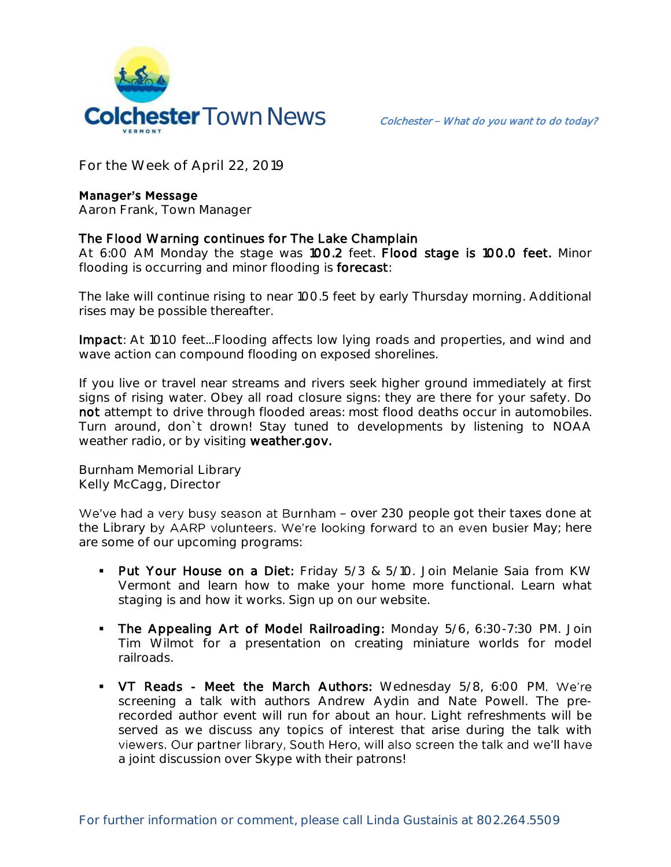

**For the Week of April 22, 2019**

## **Manager's Message**

**Aaron Frank, Town Manager** 

## The Flood Warning continues for The Lake Champlain

At 6:00 AM Monday the stage was 100.2 feet. Flood stage is 100.0 feet. Minor flooding is occurring and minor flooding is forecast:

The lake will continue rising to near 100.5 feet by early Thursday morning. Additional rises may be possible thereafter.

Impact: At 101.0 feet...Flooding affects low lying roads and properties, and wind and wave action can compound flooding on exposed shorelines.

If you live or travel near streams and rivers seek higher ground immediately at first signs of rising water. Obey all road closure signs: they are there for your safety. Do not attempt to drive through flooded areas: most flood deaths occur in automobiles. Turn around, don`t drown! Stay tuned to developments by listening to NOAA weather radio, or by visiting weather.gov.

**Burnham Memorial Library Kelly McCagg, Director**

We've had a very busy season at Burnham - over 230 people got their taxes done at the Library by AARP volunteers. We're looking forward to an even busier May; here are some of our upcoming programs:

- Put Your House on a Diet: Friday 5/3 & 5/10. Join Melanie Saia from KW Vermont and learn how to make your home more functional. Learn what staging is and how it works. Sign up on our website.
- **The Appealing Art of Model Railroading:** Monday 5/6, 6:30-7:30 PM. Join Tim Wilmot for a presentation on creating miniature worlds for model railroads.
- VT Reads Meet the March Authors: Wednesday 5/8, 6:00 PM. We're screening a talk with authors Andrew Aydin and Nate Powell. The prerecorded author event will run for about an hour. Light refreshments will be served as we discuss any topics of interest that arise during the talk with viewers. Our partner library, South Hero, will also screen the talk and we'll have a joint discussion over Skype with their patrons!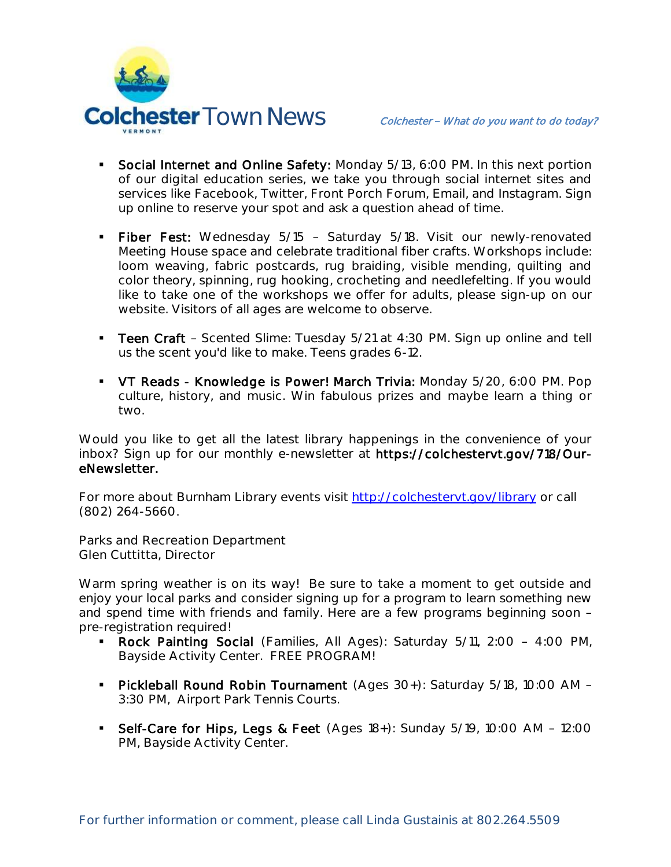

- Social Internet and Online Safety: Monday 5/13, 6:00 PM. In this next portion of our digital education series, we take you through social internet sites and services like Facebook, Twitter, Front Porch Forum, Email, and Instagram. Sign up online to reserve your spot and ask a question ahead of time.
- Fiber Fest: Wednesday 5/15 Saturday 5/18. Visit our newly-renovated Meeting House space and celebrate traditional fiber crafts. Workshops include: loom weaving, fabric postcards, rug braiding, visible mending, quilting and color theory, spinning, rug hooking, crocheting and needlefelting. If you would like to take one of the workshops we offer for adults, please sign-up on our website. Visitors of all ages are welcome to observe.
- **Teen Craft** Scented Slime: Tuesday  $5/21$  at  $4:30$  PM. Sign up online and tell us the scent you'd like to make. Teens grades 6-12.
- VT Reads Knowledge is Power! March Trivia: Monday 5/20, 6:00 PM. Pop culture, history, and music. Win fabulous prizes and maybe learn a thing or two.

Would you like to get all the latest library happenings in the convenience of your inbox? Sign up for our monthly e-newsletter at https://colchestervt.gov/718/OureNewsletter.

For more about Burnham Library events visit<http://colchestervt.gov/library> or call (802) 264-5660.

**Parks and Recreation Department Glen Cuttitta, Director**

Warm spring weather is on its way! Be sure to take a moment to get outside and enjoy your local parks and consider signing up for a program to learn something new and spend time with friends and family. Here are a few programs beginning soon pre-registration required!

- Rock Painting Social (Families, All Ages): Saturday 5/11, 2:00 4:00 PM, Bayside Activity Center. FREE PROGRAM!
- **Pickleball Round Robin Tournament** (Ages 30+): Saturday 5/18, 10:00 AM -3:30 PM, Airport Park Tennis Courts.
- Self-Care for Hips, Legs & Feet (Ages 18+): Sunday 5/19, 10:00 AM 12:00 PM, Bayside Activity Center.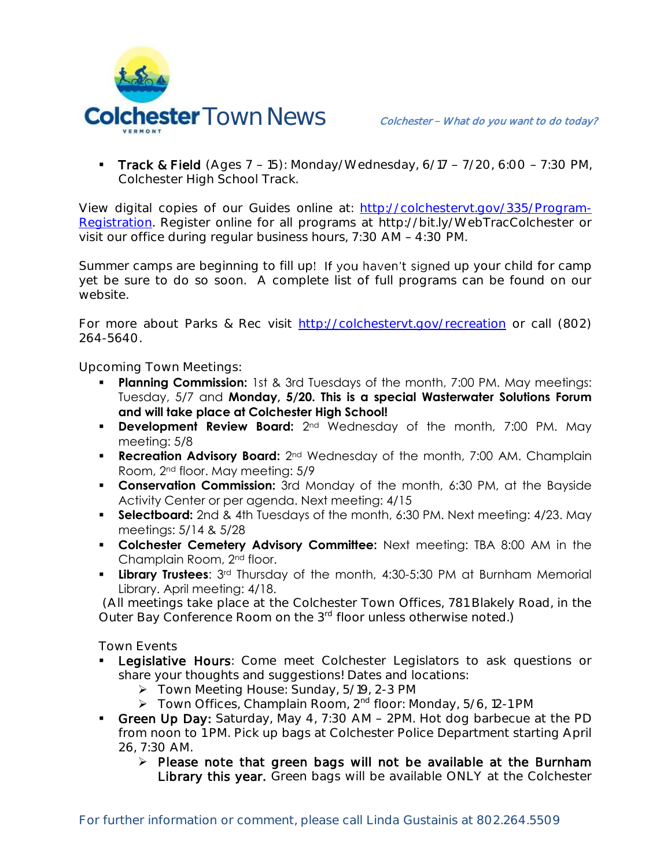

**Track & Field** (Ages  $7 - 15$ ): Monday/Wednesday,  $6/17 - 7/20$ ,  $6:00 - 7:30$  PM, Colchester High School Track.

View digital copies of our Guides online at: [http://colchestervt.gov/335/Program-](http://colchestervt.gov/335/Program-Registration)[Registration.](http://colchestervt.gov/335/Program-Registration) Register online for all programs at http://bit.ly/WebTracColchester or visit our office during regular business hours, 7:30 AM - 4:30 PM.

Summer camps are beginning to fill up! If you haven't signed up your child for camp yet be sure to do so soon. A complete list of full programs can be found on our website.

For more about Parks & Rec visit [http://colchestervt.gov/recreation](http://colchestervt.gov/Recreation/parksNRec.shtml) or call (802) 264-5640.

**Upcoming Town Meetings:** 

- **Planning Commission:** 1st & 3rd Tuesdays of the month, 7:00 PM. May meetings: Tuesday, 5/7 and **Monday, 5/20. This is a special Wasterwater Solutions Forum and will take place at Colchester High School!**
- **Development Review Board:** 2<sup>nd</sup> Wednesday of the month, 7:00 PM. May meeting: 5/8
- **Recreation Advisory Board:**  $2^{nd}$  Wednesday of the month, 7:00 AM. Champlain Room, 2nd floor. May meeting: 5/9
- **Conservation Commission:** 3rd Monday of the month, 6:30 PM, at the Bayside Activity Center or per agenda. Next meeting: 4/15
- **Selectboard:** 2nd & 4th Tuesdays of the month, 6:30 PM. Next meeting: 4/23. May meetings: 5/14 & 5/28
- **Colchester Cemetery Advisory Committee:** Next meeting: TBA 8:00 AM in the Champlain Room, 2nd floor.
- **Library Trustees**: 3rd Thursday of the month, 4:30-5:30 PM at Burnham Memorial Library. April meeting: 4/18.

(All meetings take place at the Colchester Town Offices, 781 Blakely Road, in the Outer Bay Conference Room on the 3<sup>rd</sup> floor unless otherwise noted.)

**Town Events**

- Legislative Hours: Come meet Colchester Legislators to ask questions or share your thoughts and suggestions! Dates and locations:
	- Town Meeting House: Sunday, 5/19, 2-3 PM
	- > Town Offices, Champlain Room, 2<sup>nd</sup> floor: Monday, 5/6, 12-1 PM
- Green Up Day: Saturday, May 4, 7:30 AM 2PM. Hot dog barbecue at the PD from noon to 1 PM. Pick up bags at Colchester Police Department starting April 26, 7:30 AM.
	- $\triangleright$  Please note that green bags will not be available at the Burnham Library this year. Green bags will be available ONLY at the Colchester